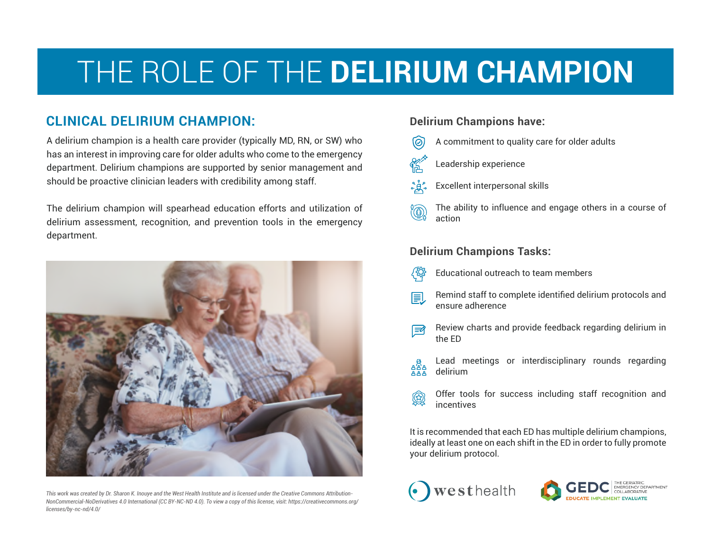# THE ROLE OF THE **DELIRIUM CHAMPION**

### **CLINICAL DELIRIUM CHAMPION:** Delirium Champions have:

A delirium champion is a health care provider (typically MD, RN, or SW) who has an interest in improving care for older adults who come to the emergency department. Delirium champions are supported by senior management and should be proactive clinician leaders with credibility among staff.

The delirium champion will spearhead education efforts and utilization of delirium assessment, recognition, and prevention tools in the emergency department.



*This work was created by Dr. Sharon K. Inouye and the West Health Institute and is licensed under the Creative Commons Attribution-NonCommercial-NoDerivatives 4.0 International (CC BY-NC-ND 4.0). To view a copy of this license, visit: https://creativecommons.org/ licenses/by-nc-nd/4.0/*

- A commitment to quality care for older adults
- Leadership experience
- Excellent interpersonal skills
- The ability to influence and engage others in a course of action

### **Delirium Champions Tasks:**

- Educational outreach to team members
- Remind staff to complete identified delirium protocols and 圓 ensure adherence
- Review charts and provide feedback regarding delirium in ।≇ि the ED
- Lead meetings or interdisciplinary rounds regarding අසිය delirium
- Offer tools for success including staff recognition and  $\circledR$ incentives

It is recommended that each ED has multiple delirium champions, ideally at least one on each shift in the ED in order to fully promote your delirium protocol.